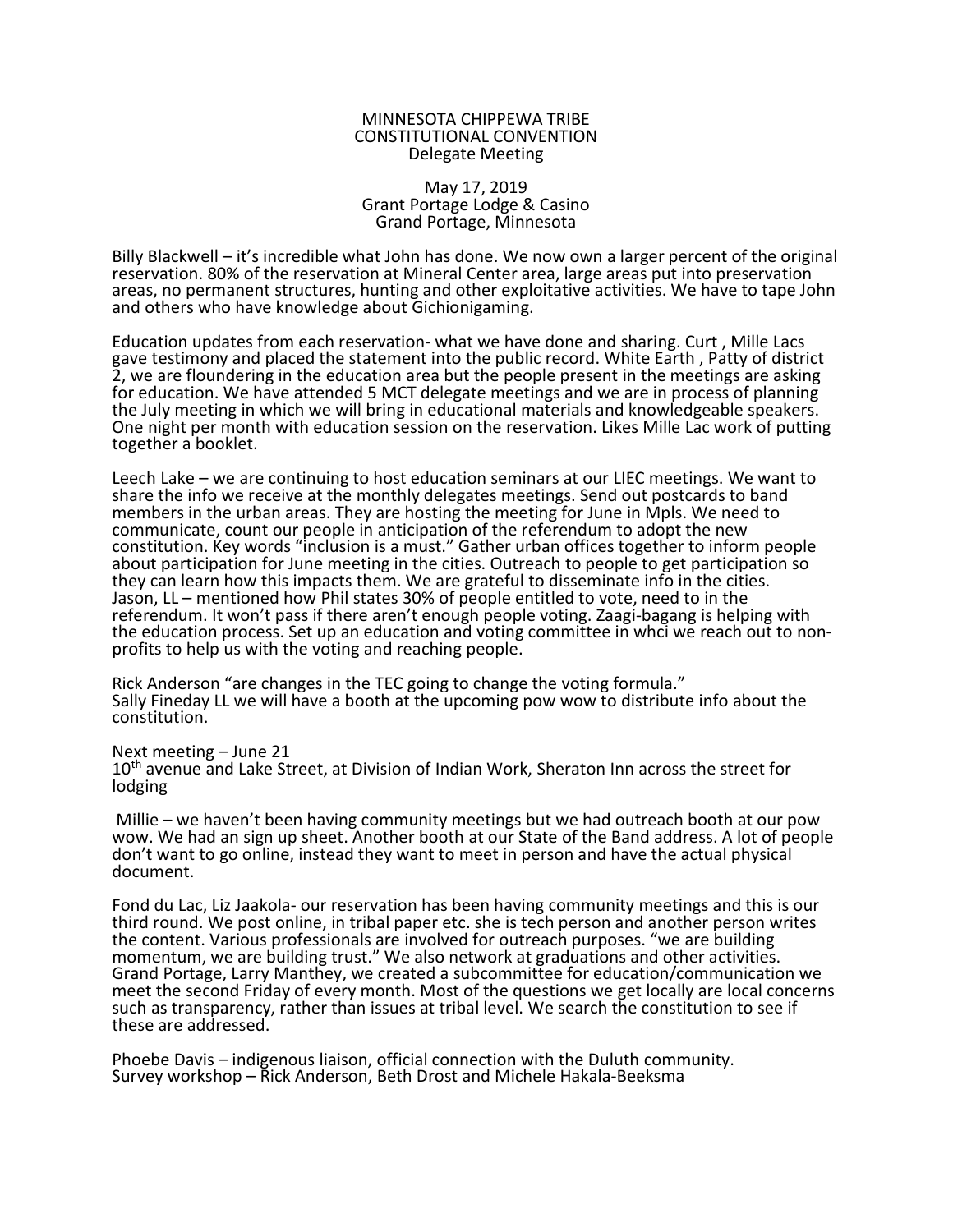## MINNESOTA CHIPPEWA TRIBE CONSTITUTIONAL CONVENTION Delegate Meeting

## May 17, 2019 Grant Portage Lodge & Casino Grand Portage, Minnesota

Billy Blackwell – it's incredible what John has done. We now own a larger percent of the original reservation. 80% of the reservation at Mineral Center area, large areas put into preservation areas, no permanent structures, hunting and other exploitative activities. We have to tape John and others who have knowledge about Gichionigaming.

Education updates from each reservation- what we have done and sharing. Curt , Mille Lacs gave testimony and placed the statement into the public record. White Earth , Patty of district 2, we are floundering in the education area but the people present in the meetings are asking for education. We have attended 5 MCT delegate meetings and we are in process of planning the July meeting in which we will bring in educational materials and knowledgeable speakers. One night per month with education session on the reservation. Likes Mille Lac work of putting together a booklet.

Leech Lake – we are continuing to host education seminars at our LIEC meetings. We want to share the info we receive at the monthly delegates meetings. Send out postcards to band members in the urban areas. They are hosting the meeting for June in Mpls. We need to communicate, count our people in anticipation of the referendum to adopt the new constitution. Key words "inclusion is a must." Gather urban offices together to inform people about participation for June meeting in the cities. Outreach to people to get participation so they can learn how this impacts them. We are grateful to disseminate info in the cities. Jason, LL – mentioned how Phil states 30% of people entitled to vote, need to in the referendum. It won't pass if there aren't enough people voting. Zaagi-bagang is helping with the education process. Set up an education and voting committee in whci we reach out to nonprofits to help us with the voting and reaching people.

Rick Anderson "are changes in the TEC going to change the voting formula." Sally Fineday LL we will have a booth at the upcoming pow wow to distribute info about the constitution.

Next meeting – June 21

10<sup>th</sup> avenue and Lake Street, at Division of Indian Work, Sheraton Inn across the street for lodging

 Millie – we haven't been having community meetings but we had outreach booth at our pow wow. We had an sign up sheet. Another booth at our State of the Band address. A lot of people don't want to go online, instead they want to meet in person and have the actual physical document.

Fond du Lac, Liz Jaakola- our reservation has been having community meetings and this is our third round. We post online, in tribal paper etc. she is tech person and another person writes the content. Various professionals are involved for outreach purposes. "we are building momentum, we are building trust." We also network at graduations and other activities. Grand Portage, Larry Manthey, we created a subcommittee for education/communication we meet the second Friday of every month. Most of the questions we get locally are local concerns such as transparency, rather than issues at tribal level. We search the constitution to see if these are addressed.

Phoebe Davis – indigenous liaison, official connection with the Duluth community. Survey workshop – Rick Anderson, Beth Drost and Michele Hakala-Beeksma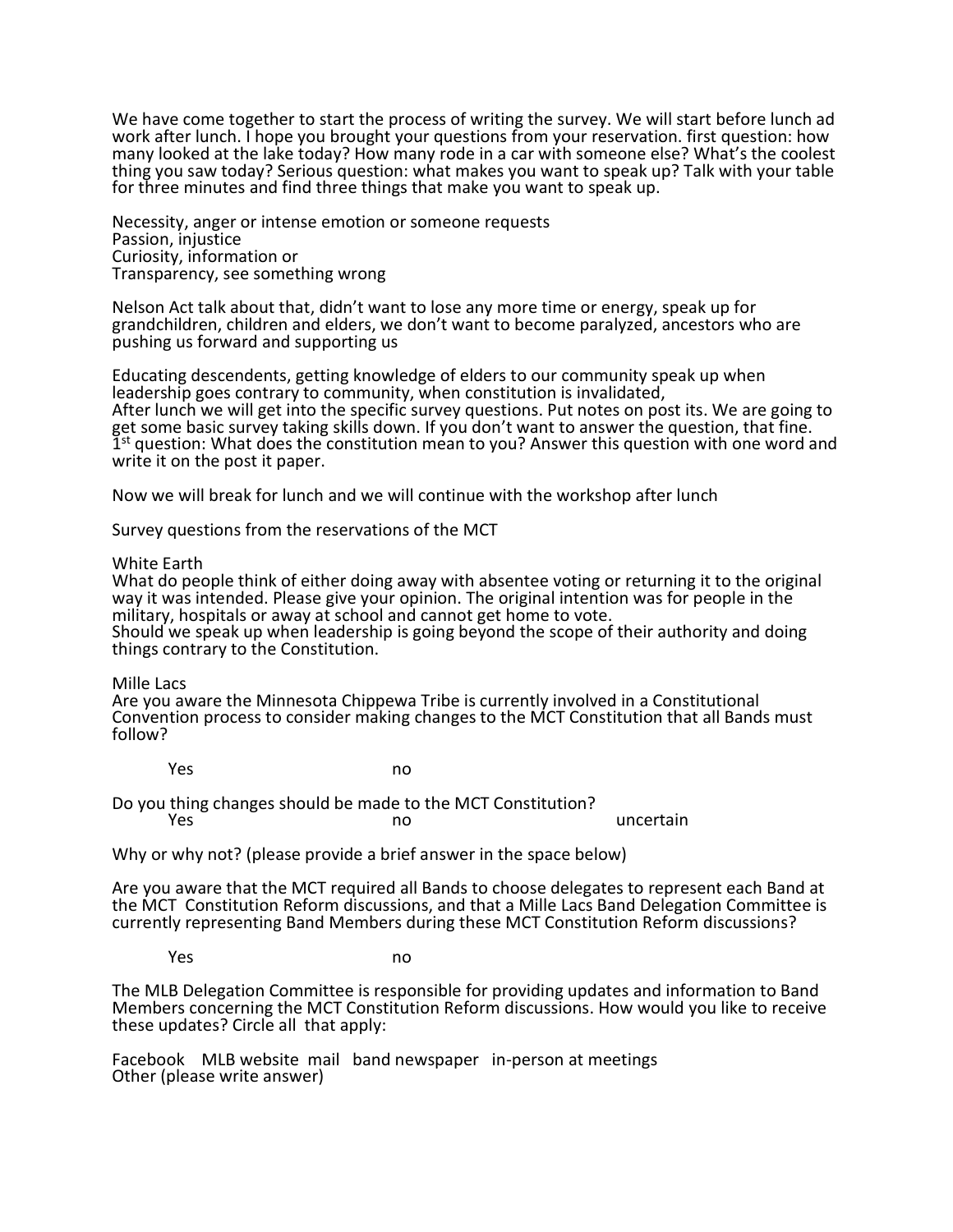We have come together to start the process of writing the survey. We will start before lunch ad work after lunch. I hope you brought your questions from your reservation. first question: how many looked at the lake today? How many rode in a car with someone else? What's the coolest thing you saw today? Serious question: what makes you want to speak up? Talk with your table for three minutes and find three things that make you want to speak up.

Necessity, anger or intense emotion or someone requests Passion, injustice Curiosity, information or Transparency, see something wrong

Nelson Act talk about that, didn't want to lose any more time or energy, speak up for grandchildren, children and elders, we don't want to become paralyzed, ancestors who are pushing us forward and supporting us

Educating descendents, getting knowledge of elders to our community speak up when leadership goes contrary to community, when constitution is invalidated, After lunch we will get into the specific survey questions. Put notes on post its. We are going to get some basic survey taking skills down. If you don't want to answer the question, that fine.  $\tilde{I}$ <sup>st</sup> question: What does the constitution mean to you? Answer this question with one word and write it on the post it paper.

Now we will break for lunch and we will continue with the workshop after lunch

Survey questions from the reservations of the MCT

White Earth

What do people think of either doing away with absentee voting or returning it to the original way it was intended. Please give your opinion. The original intention was for people in the military, hospitals or away at school and cannot get home to vote. Should we speak up when leadership is going beyond the scope of their authority and doing things contrary to the Constitution.

Mille Lacs

Are you aware the Minnesota Chippewa Tribe is currently involved in a Constitutional Convention process to consider making changes to the MCT Constitution that all Bands must follow?

Yes no

Do you thing changes should be made to the MCT Constitution? **The Second Second Contract Contract Contract Contract Contract Contract Contract Contract Contract Contract Contract Contract Contract Contract Contract Contract Contract Contract Contract Contract Contract Contract Contr** 

Why or why not? (please provide a brief answer in the space below)

Are you aware that the MCT required all Bands to choose delegates to represent each Band at the MCT Constitution Reform discussions, and that a Mille Lacs Band Delegation Committee is currently representing Band Members during these MCT Constitution Reform discussions?

**Yes** no

The MLB Delegation Committee is responsible for providing updates and information to Band Members concerning the MCT Constitution Reform discussions. How would you like to receive these updates? Circle all that apply:

Facebook MLB website mail band newspaper in-person at meetings Other (please write answer)